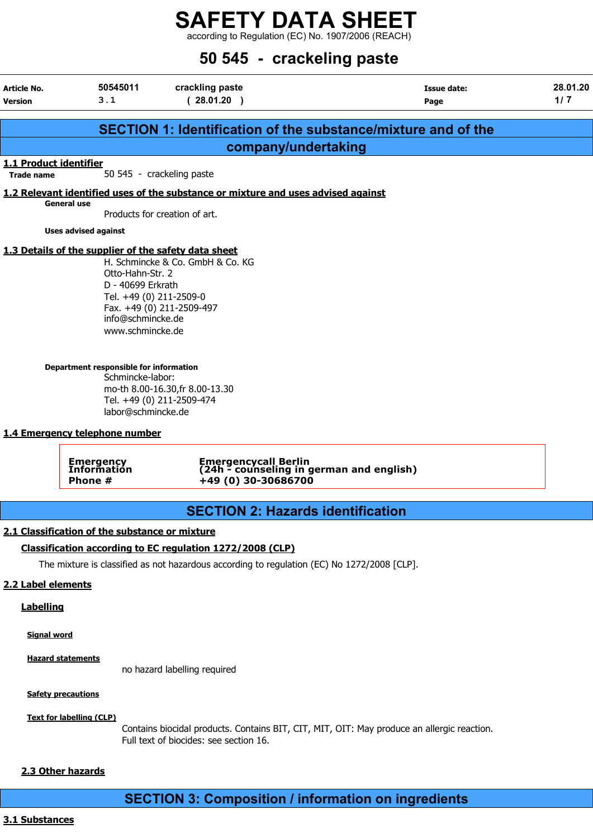according to Regulation (EC) No. 1907/2006 (REACH)

# 50 545 - crackeling paste

| Article No.<br><b>Version</b>               | 50545011<br>3.1                                                                                                                                                                                                                                                                         | crackling paste<br>(28.01.20)                                                                                                 | Issue date:<br>Page                                                                         | 28.01.20<br>1/7 |
|---------------------------------------------|-----------------------------------------------------------------------------------------------------------------------------------------------------------------------------------------------------------------------------------------------------------------------------------------|-------------------------------------------------------------------------------------------------------------------------------|---------------------------------------------------------------------------------------------|-----------------|
|                                             |                                                                                                                                                                                                                                                                                         |                                                                                                                               | <b>SECTION 1: Identification of the substance/mixture and of the</b>                        |                 |
|                                             |                                                                                                                                                                                                                                                                                         |                                                                                                                               | company/undertaking                                                                         |                 |
| 1.1 Product identifier<br><b>Trade name</b> |                                                                                                                                                                                                                                                                                         | 50 545 - crackeling paste                                                                                                     |                                                                                             |                 |
|                                             |                                                                                                                                                                                                                                                                                         | 1.2 Relevant identified uses of the substance or mixture and uses advised against                                             |                                                                                             |                 |
|                                             | General use                                                                                                                                                                                                                                                                             | Products for creation of art.                                                                                                 |                                                                                             |                 |
|                                             | <b>Uses advised against</b>                                                                                                                                                                                                                                                             |                                                                                                                               |                                                                                             |                 |
|                                             | 1.3 Details of the supplier of the safety data sheet<br>Otto-Hahn-Str. 2<br>D - 40699 Erkrath<br>Tel. +49 (0) 211-2509-0<br>info@schmincke.de<br>www.schmincke.de<br>Department responsible for information<br>Schmincke-labor:<br>labor@schmincke.de<br>1.4 Emergency telephone number | H. Schmincke & Co. GmbH & Co. KG<br>Fax. +49 (0) 211-2509-497<br>mo-th 8.00-16.30, fr 8.00-13.30<br>Tel. +49 (0) 211-2509-474 |                                                                                             |                 |
|                                             | <b>Emergency<br/>Information</b><br>Phone #                                                                                                                                                                                                                                             | +49 (0) 30-30686700                                                                                                           | Emergencycall Berlin<br>(24h - counseling in german and english)                            |                 |
|                                             |                                                                                                                                                                                                                                                                                         |                                                                                                                               | <b>SECTION 2: Hazards identification</b>                                                    |                 |
|                                             | 2.1 Classification of the substance or mixture                                                                                                                                                                                                                                          |                                                                                                                               |                                                                                             |                 |
|                                             |                                                                                                                                                                                                                                                                                         | Classification according to EC regulation 1272/2008 (CLP)                                                                     |                                                                                             |                 |
|                                             |                                                                                                                                                                                                                                                                                         |                                                                                                                               | The mixture is classified as not hazardous according to regulation (EC) No 1272/2008 [CLP]. |                 |
| 2.2 Label elements                          |                                                                                                                                                                                                                                                                                         |                                                                                                                               |                                                                                             |                 |
| <b>Labelling</b>                            |                                                                                                                                                                                                                                                                                         |                                                                                                                               |                                                                                             |                 |
| <b>Signal word</b>                          |                                                                                                                                                                                                                                                                                         |                                                                                                                               |                                                                                             |                 |

Hazard statements

no hazard labelling required

**Safety precautions** 

Text for labelling (CLP)

Contains biocidal products. Contains BIT, CIT, MIT, OIT: May produce an allergic reaction. Full text of biocides: see section 16.

# 2.3 Other hazards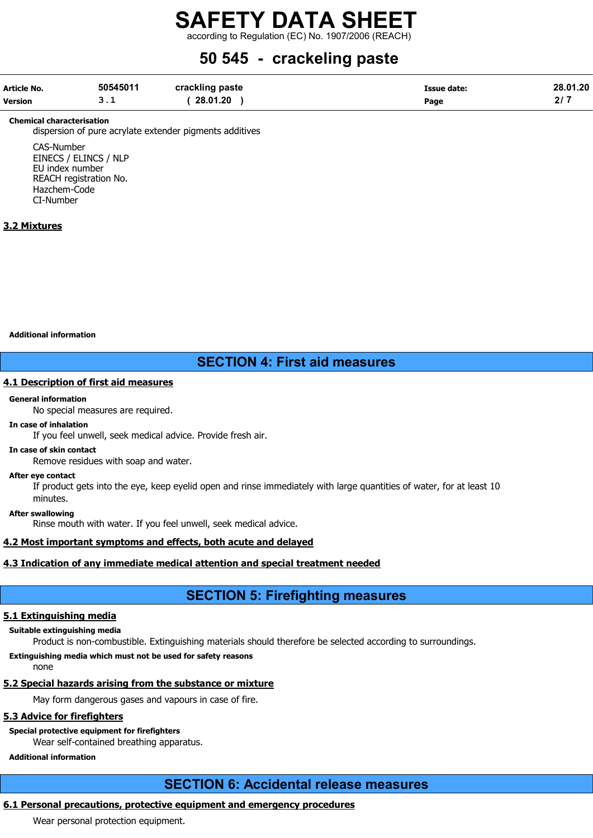according to Regulation (EC) No. 1907/2006 (REACH)

# 50 545 - crackeling paste

| Article No.    | 50545011 | crackling paste | <b>Issue date:</b> | 28.01.20 |
|----------------|----------|-----------------|--------------------|----------|
| <b>Version</b> | ـ        | 28.01.20        | Page               | 21 7     |

#### Chemical characterisation

dispersion of pure acrylate extender pigments additives

CAS-Number EINECS / ELINCS / NLP EU index number REACH registration No. Hazchem-Code CI-Number

# 3.2 Mixtures

Additional information

# SECTION 4: First aid measures

## 4.1 Description of first aid measures

### General information

No special measures are required.

### In case of inhalation

If you feel unwell, seek medical advice. Provide fresh air.

# In case of skin contact

Remove residues with soap and water.

#### After eye contact

If product gets into the eye, keep eyelid open and rinse immediately with large quantities of water, for at least 10 minutes.

#### After swallowing

Rinse mouth with water. If you feel unwell, seek medical advice.

# 4.2 Most important symptoms and effects, both acute and delayed

# 4.3 Indication of any immediate medical attention and special treatment needed

# SECTION 5: Firefighting measures

### 5.1 Extinguishing media

### Suitable extinguishing media

Product is non-combustible. Extinguishing materials should therefore be selected according to surroundings.

### Extinguishing media which must not be used for safety reasons

none

# 5.2 Special hazards arising from the substance or mixture

May form dangerous gases and vapours in case of fire.

# 5.3 Advice for firefighters

Special protective equipment for firefighters

Wear self-contained breathing apparatus.

# Additional information

# SECTION 6: Accidental release measures

# 6.1 Personal precautions, protective equipment and emergency procedures

Wear personal protection equipment.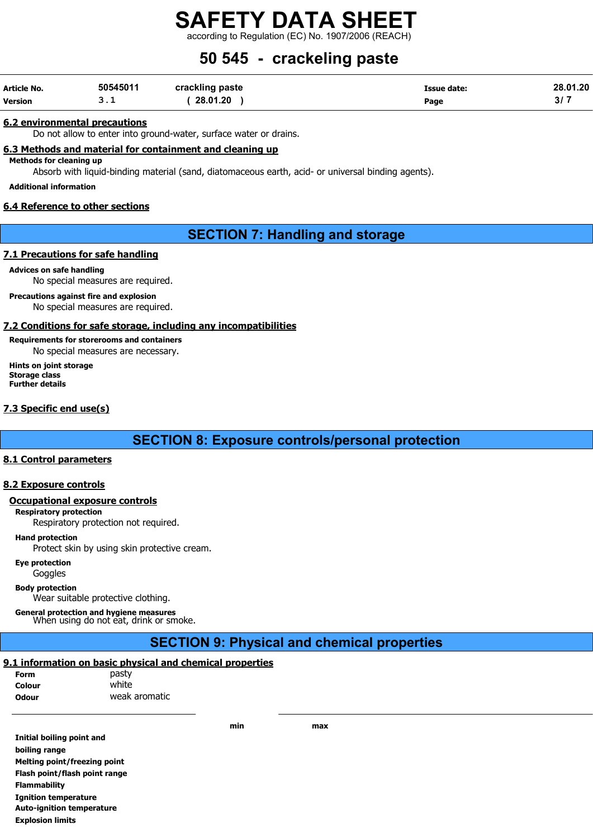according to Regulation (EC) No. 1907/2006 (REACH)

# 50 545 - crackeling paste

| Article No.    | 50545011      | crackling paste | Issue date: | 28.01.20 |
|----------------|---------------|-----------------|-------------|----------|
| <b>Version</b> | <u>- - - </u> | 28.01.20        | Page        | ا اک     |

### 6.2 environmental precautions

Do not allow to enter into ground-water, surface water or drains.

## 6.3 Methods and material for containment and cleaning up

Methods for cleaning up

Absorb with liquid-binding material (sand, diatomaceous earth, acid- or universal binding agents).

Additional information

## 6.4 Reference to other sections

# SECTION 7: Handling and storage

# 7.1 Precautions for safe handling

Advices on safe handling

No special measures are required.

# Precautions against fire and explosion

No special measures are required.

## 7.2 Conditions for safe storage, including any incompatibilities

Requirements for storerooms and containers No special measures are necessary.

Hints on joint storage Storage class Further details

# 7.3 Specific end use(s)

SECTION 8: Exposure controls/personal protection

### 8.1 Control parameters

# 8.2 Exposure controls

# Occupational exposure controls

Respiratory protection

Respiratory protection not required.

#### Hand protection

Protect skin by using skin protective cream.

# Eye protection

**Goggles** 

Body protection Wear suitable protective clothing.

General protection and hygiene measures When using do not eat, drink or smoke.

# SECTION 9: Physical and chemical properties

# 9.1 information on basic physical and chemical properties

| <b>Form</b>  | pasty         |
|--------------|---------------|
| Colour       | white         |
| <b>Odour</b> | weak aromatic |

Initial boiling point and boiling range Melting point/freezing point Flash point/flash point range Flammability Ignition temperature Auto-ignition temperature Explosion limits

min max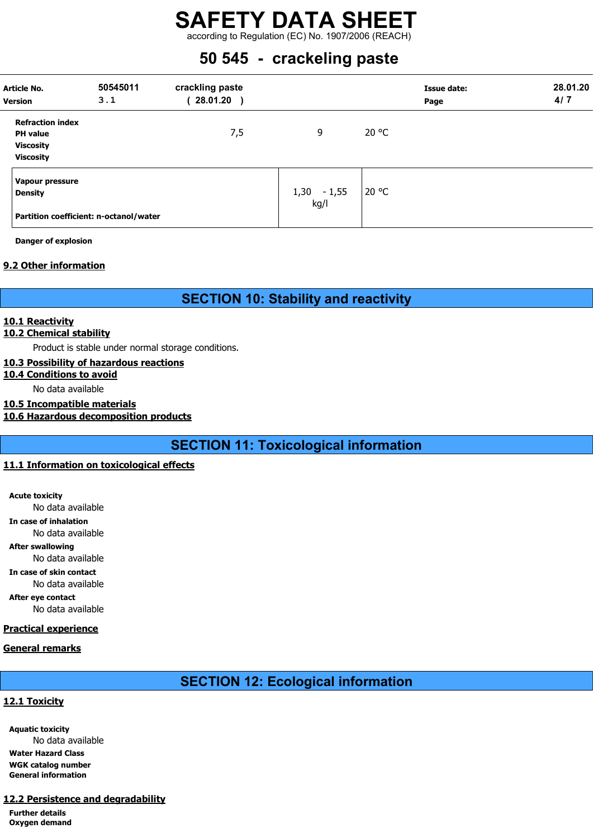according to Regulation (EC) No. 1907/2006 (REACH)

# 50 545 - crackeling paste

| Article No.<br><b>Version</b>                                                      | 50545011<br>3.1                        | crackling paste<br>28.01.20 |                     | <b>Issue date:</b><br>Page | 28.01.20<br>4/7 |
|------------------------------------------------------------------------------------|----------------------------------------|-----------------------------|---------------------|----------------------------|-----------------|
| <b>Refraction index</b><br><b>PH</b> value<br><b>Viscosity</b><br><b>Viscosity</b> |                                        | 7,5                         | 9                   | 20 °C                      |                 |
| Vapour pressure<br><b>Density</b>                                                  | Partition coefficient: n-octanol/water |                             | 1,30 - 1,55<br>kg/l | 20 °C                      |                 |

Danger of explosion

# 9.2 Other information

SECTION 10: Stability and reactivity

## 10.1 Reactivity

# 10.2 Chemical stability

Product is stable under normal storage conditions.

# 10.3 Possibility of hazardous reactions

10.4 Conditions to avoid

No data available

# 10.5 Incompatible materials

10.6 Hazardous decomposition products

SECTION 11: Toxicological information

# 11.1 Information on toxicological effects

Acute toxicity No data available In case of inhalation No data available After swallowing

No data available In case of skin contact No data available After eye contact No data available

# Practical experience

General remarks

SECTION 12: Ecological information

# 12.1 Toxicity

Aquatic toxicity No data available Water Hazard Class WGK catalog number General information

# 12.2 Persistence and degradability

Further details Oxygen demand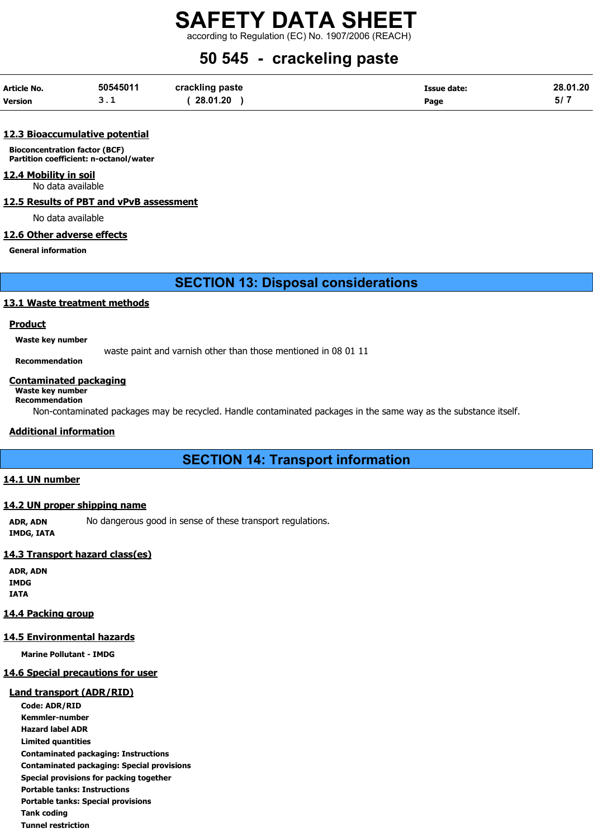according to Regulation (EC) No. 1907/2006 (REACH)

# 50 545 - crackeling paste

| <b>Article No.</b> | 50545011 | crackling paste | Issue date: | 28.01.20 |
|--------------------|----------|-----------------|-------------|----------|
| <b>Version</b>     | <u>.</u> | 28.01.20        | Page        |          |

### 12.3 Bioaccumulative potential

Bioconcentration factor (BCF) Partition coefficient: n-octanol/water

# 12.4 Mobility in soil

No data available

# 12.5 Results of PBT and vPvB assessment

No data available

# 12.6 Other adverse effects

General information

# SECTION 13: Disposal considerations

# 13.1 Waste treatment methods

# Product

Waste key number

Recommendation

waste paint and varnish other than those mentioned in 08 01 11

# Contaminated packaging

Waste key number

Recommendation

Non-contaminated packages may be recycled. Handle contaminated packages in the same way as the substance itself.

# Additional information

# SECTION 14: Transport information

# 14.1 UN number

# 14.2 UN proper shipping name

ADR, ADN No dangerous good in sense of these transport regulations. IMDG, IATA

# 14.3 Transport hazard class(es)

ADR, ADN IMDG IATA

# 14.4 Packing group

# 14.5 Environmental hazards

Marine Pollutant - IMDG

# 14.6 Special precautions for user

# Land transport (ADR/RID)

Code: ADR/RID Kemmler-number Hazard label ADR Limited quantities Contaminated packaging: Instructions Contaminated packaging: Special provisions Special provisions for packing together Portable tanks: Instructions Portable tanks: Special provisions Tank coding Tunnel restriction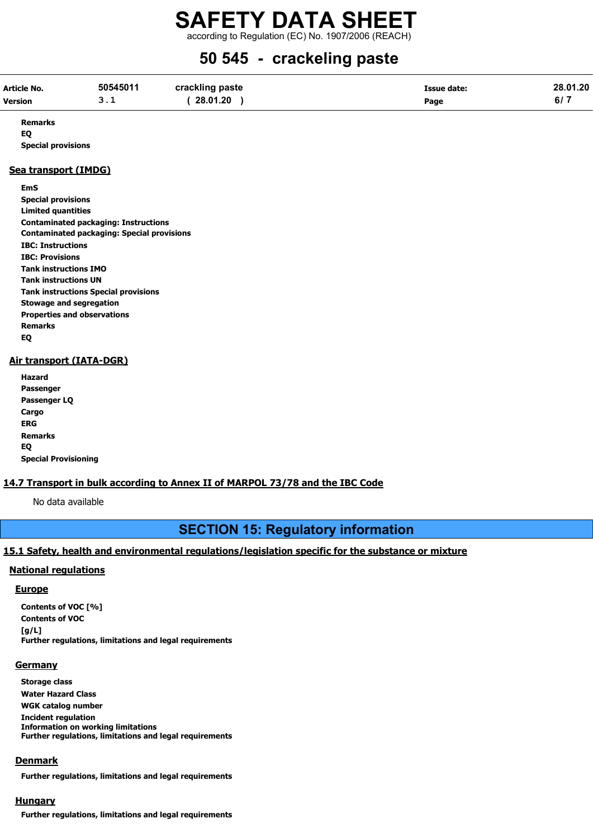according to Regulation (EC) No. 1907/2006 (REACH)

# 50 545 - crackeling paste

| Article No.    | 50545011 | crackling paste | <b>Issue date:</b> | 28.01.20 |
|----------------|----------|-----------------|--------------------|----------|
| <b>Version</b> |          | 28.01.20        | Page               |          |

Remarks EQ Special provisions

## Sea transport (IMDG)

EmS Special provisions Limited quantities Contaminated packaging: Instructions Contaminated packaging: Special provisions IBC: Instructions IBC: Provisions Tank instructions IMO Tank instructions UN Tank instructions Special provisions Stowage and segregation Properties and observations Remarks EQ

# Air transport (IATA-DGR)

| Hazard                      |
|-----------------------------|
| Passenger                   |
| Passenger LO                |
| Cargo                       |
| ERG                         |
| <b>Remarks</b>              |
| EQ                          |
| <b>Special Provisioning</b> |

# 14.7 Transport in bulk according to Annex II of MARPOL 73/78 and the IBC Code

No data available

# SECTION 15: Regulatory information

# 15.1 Safety, health and environmental regulations/legislation specific for the substance or mixture

# National regulations

# Europe

Contents of VOC [%] Contents of VOC  $[g/L]$ Further regulations, limitations and legal requirements

### **Germany**

Storage class Water Hazard Class WGK catalog number Incident regulation Information on working limitations Further regulations, limitations and legal requirements

### **Denmark**

Further regulations, limitations and legal requirements

### **Hungary**

Further regulations, limitations and legal requirements